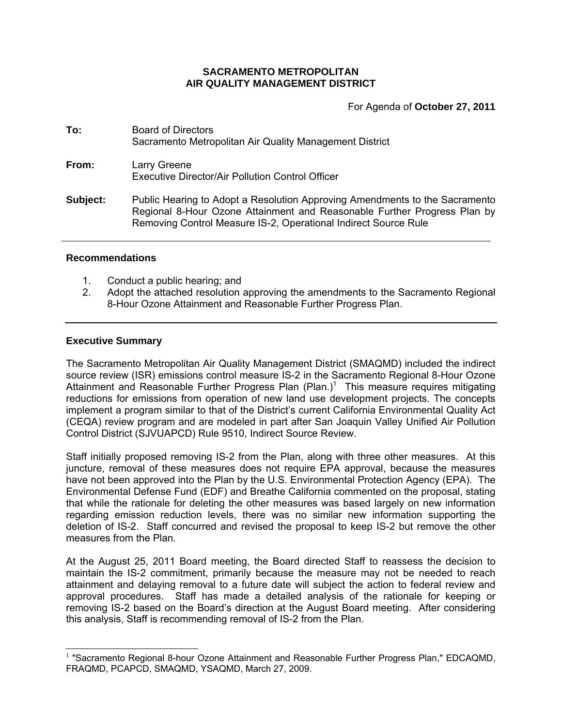### **SACRAMENTO METROPOLITAN AIR QUALITY MANAGEMENT DISTRICT**

For Agenda of **October 27, 2011**

| To:      | <b>Board of Directors</b><br>Sacramento Metropolitan Air Quality Management District                                                                                                                                       |
|----------|----------------------------------------------------------------------------------------------------------------------------------------------------------------------------------------------------------------------------|
| From:    | Larry Greene<br>Executive Director/Air Pollution Control Officer                                                                                                                                                           |
| Subject: | Public Hearing to Adopt a Resolution Approving Amendments to the Sacramento<br>Regional 8-Hour Ozone Attainment and Reasonable Further Progress Plan by<br>Removing Control Measure IS-2, Operational Indirect Source Rule |

# **Recommendations**

- 1. Conduct a public hearing; and
- 2. Adopt the attached resolution approving the amendments to the Sacramento Regional 8-Hour Ozone Attainment and Reasonable Further Progress Plan.

### **Executive Summary**

 $\overline{a}$ 

The Sacramento Metropolitan Air Quality Management District (SMAQMD) included the indirect source review (ISR) emissions control measure IS-2 in the Sacramento Regional 8-Hour Ozone Attainment and Reasonable Further Progress Plan (Plan.)<sup>1</sup> This measure requires mitigating reductions for emissions from operation of new land use development projects. The concepts implement a program similar to that of the District's current California Environmental Quality Act (CEQA) review program and are modeled in part after San Joaquin Valley Unified Air Pollution Control District (SJVUAPCD) Rule 9510, Indirect Source Review.

Staff initially proposed removing IS-2 from the Plan, along with three other measures. At this juncture, removal of these measures does not require EPA approval, because the measures have not been approved into the Plan by the U.S. Environmental Protection Agency (EPA). The Environmental Defense Fund (EDF) and Breathe California commented on the proposal, stating that while the rationale for deleting the other measures was based largely on new information regarding emission reduction levels, there was no similar new information supporting the deletion of IS-2. Staff concurred and revised the proposal to keep IS-2 but remove the other measures from the Plan.

At the August 25, 2011 Board meeting, the Board directed Staff to reassess the decision to maintain the IS-2 commitment, primarily because the measure may not be needed to reach attainment and delaying removal to a future date will subject the action to federal review and approval procedures. Staff has made a detailed analysis of the rationale for keeping or removing IS-2 based on the Board's direction at the August Board meeting. After considering this analysis, Staff is recommending removal of IS-2 from the Plan.

<sup>&</sup>lt;sup>1</sup> "Sacramento Regional 8-hour Ozone Attainment and Reasonable Further Progress Plan," EDCAQMD, FRAQMD, PCAPCD, SMAQMD, YSAQMD, March 27, 2009.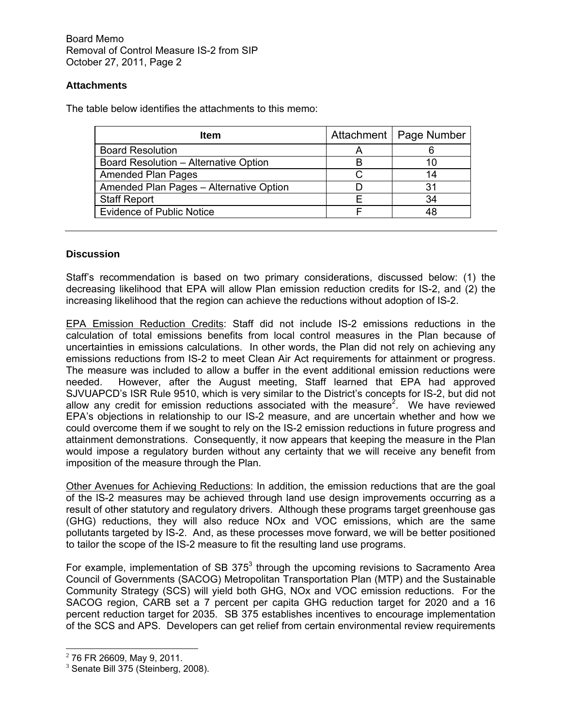Board Memo Removal of Control Measure IS-2 from SIP October 27, 2011, Page 2

# **Attachments**

The table below identifies the attachments to this memo:

| <b>Item</b>                             |   | Attachment   Page Number |
|-----------------------------------------|---|--------------------------|
| <b>Board Resolution</b>                 | Α |                          |
| Board Resolution - Alternative Option   | B | 10                       |
| <b>Amended Plan Pages</b>               |   | 14                       |
| Amended Plan Pages - Alternative Option |   | 31                       |
| <b>Staff Report</b>                     |   | 34                       |
| <b>Evidence of Public Notice</b>        |   | 48                       |

### **Discussion**

Staff's recommendation is based on two primary considerations, discussed below: (1) the decreasing likelihood that EPA will allow Plan emission reduction credits for IS-2, and (2) the increasing likelihood that the region can achieve the reductions without adoption of IS-2.

EPA Emission Reduction Credits: Staff did not include IS-2 emissions reductions in the calculation of total emissions benefits from local control measures in the Plan because of uncertainties in emissions calculations. In other words, the Plan did not rely on achieving any emissions reductions from IS-2 to meet Clean Air Act requirements for attainment or progress. The measure was included to allow a buffer in the event additional emission reductions were needed. However, after the August meeting, Staff learned that EPA had approved SJVUAPCD's ISR Rule 9510, which is very similar to the District's concepts for IS-2, but did not allow any credit for emission reductions associated with the measure<sup>2</sup>. We have reviewed EPA's objections in relationship to our IS-2 measure, and are uncertain whether and how we could overcome them if we sought to rely on the IS-2 emission reductions in future progress and attainment demonstrations. Consequently, it now appears that keeping the measure in the Plan would impose a regulatory burden without any certainty that we will receive any benefit from imposition of the measure through the Plan.

Other Avenues for Achieving Reductions: In addition, the emission reductions that are the goal of the lS-2 measures may be achieved through land use design improvements occurring as a result of other statutory and regulatory drivers. Although these programs target greenhouse gas (GHG) reductions, they will also reduce NOx and VOC emissions, which are the same pollutants targeted by IS-2. And, as these processes move forward, we will be better positioned to tailor the scope of the IS-2 measure to fit the resulting land use programs.

For example, implementation of SB 375 $3$  through the upcoming revisions to Sacramento Area Council of Governments (SACOG) Metropolitan Transportation Plan (MTP) and the Sustainable Community Strategy (SCS) will yield both GHG, NOx and VOC emission reductions. For the SACOG region, CARB set a 7 percent per capita GHG reduction target for 2020 and a 16 percent reduction target for 2035. SB 375 establishes incentives to encourage implementation of the SCS and APS. Developers can get relief from certain environmental review requirements

 $\overline{a}$ 

 $2$  76 FR 26609, May 9, 2011.

<sup>&</sup>lt;sup>3</sup> Senate Bill 375 (Steinberg, 2008).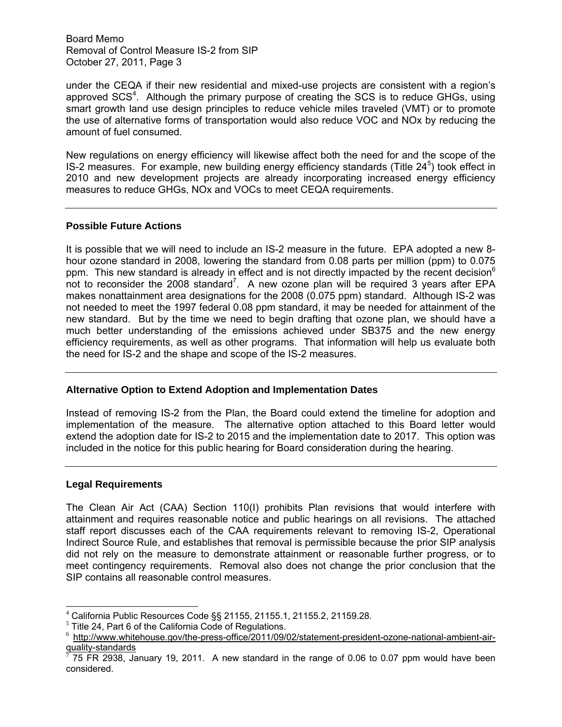Board Memo Removal of Control Measure IS-2 from SIP October 27, 2011, Page 3

under the CEQA if their new residential and mixed-use projects are consistent with a region's approved SCS<sup>4</sup>. Although the primary purpose of creating the SCS is to reduce GHGs, using smart growth land use design principles to reduce vehicle miles traveled (VMT) or to promote the use of alternative forms of transportation would also reduce VOC and NOx by reducing the amount of fuel consumed.

New regulations on energy efficiency will likewise affect both the need for and the scope of the IS-2 measures. For example, new building energy efficiency standards (Title  $24<sup>5</sup>$ ) took effect in 2010 and new development projects are already incorporating increased energy efficiency measures to reduce GHGs, NOx and VOCs to meet CEQA requirements.

#### **Possible Future Actions**

It is possible that we will need to include an IS-2 measure in the future. EPA adopted a new 8 hour ozone standard in 2008, lowering the standard from 0.08 parts per million (ppm) to 0.075 ppm. This new standard is already in effect and is not directly impacted by the recent decision<sup>6</sup> not to reconsider the 2008 standard<sup>7</sup>. A new ozone plan will be required 3 years after EPA makes nonattainment area designations for the 2008 (0.075 ppm) standard. Although IS-2 was not needed to meet the 1997 federal 0.08 ppm standard, it may be needed for attainment of the new standard. But by the time we need to begin drafting that ozone plan, we should have a much better understanding of the emissions achieved under SB375 and the new energy efficiency requirements, as well as other programs. That information will help us evaluate both the need for IS-2 and the shape and scope of the IS-2 measures.

#### **Alternative Option to Extend Adoption and Implementation Dates**

Instead of removing IS-2 from the Plan, the Board could extend the timeline for adoption and implementation of the measure. The alternative option attached to this Board letter would extend the adoption date for IS-2 to 2015 and the implementation date to 2017. This option was included in the notice for this public hearing for Board consideration during the hearing.

#### **Legal Requirements**

 $\overline{\phantom{a}}$ 

The Clean Air Act (CAA) Section 110(I) prohibits Plan revisions that would interfere with attainment and requires reasonable notice and public hearings on all revisions. The attached staff report discusses each of the CAA requirements relevant to removing IS-2, Operational Indirect Source Rule, and establishes that removal is permissible because the prior SIP analysis did not rely on the measure to demonstrate attainment or reasonable further progress, or to meet contingency requirements. Removal also does not change the prior conclusion that the SIP contains all reasonable control measures.

<sup>&</sup>lt;sup>4</sup> California Public Resources Code §§ 21155, 21155.1, 21155.2, 21159.28.<br><sup>5</sup> Title 24, Part 6 of the California Code of Pequiptions.

 $5$  Title 24, Part 6 of the California Code of Regulations.

<sup>&</sup>lt;sup>6</sup> http://www.whitehouse.gov/the-press-office/2011/09/02/statement-president-ozone-national-ambient-airquality-standards

<sup>7</sup> 75 FR 2938, January 19, 2011. A new standard in the range of 0.06 to 0.07 ppm would have been considered.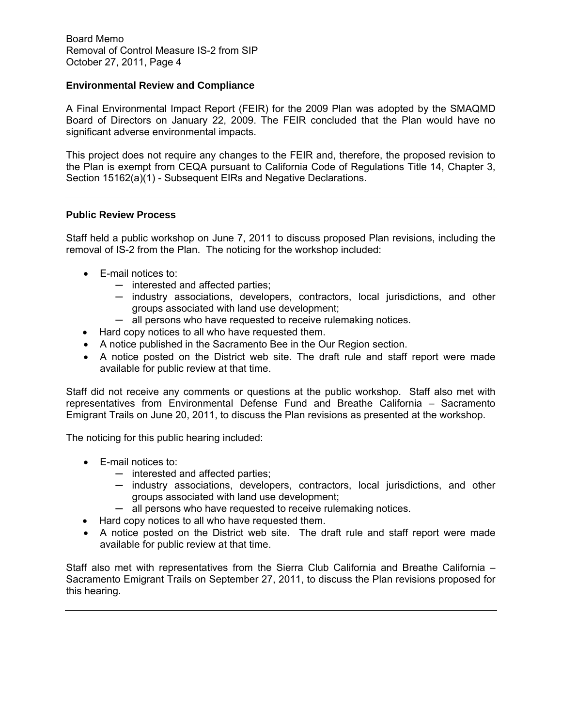## **Environmental Review and Compliance**

A Final Environmental Impact Report (FEIR) for the 2009 Plan was adopted by the SMAQMD Board of Directors on January 22, 2009. The FEIR concluded that the Plan would have no significant adverse environmental impacts.

This project does not require any changes to the FEIR and, therefore, the proposed revision to the Plan is exempt from CEQA pursuant to California Code of Regulations Title 14, Chapter 3, Section 15162(a)(1) - Subsequent EIRs and Negative Declarations.

#### **Public Review Process**

Staff held a public workshop on June 7, 2011 to discuss proposed Plan revisions, including the removal of IS-2 from the Plan. The noticing for the workshop included:

- E-mail notices to:
	- ─ interested and affected parties;
	- ─ industry associations, developers, contractors, local jurisdictions, and other groups associated with land use development;
	- $-$  all persons who have requested to receive rulemaking notices.
- Hard copy notices to all who have requested them.
- A notice published in the Sacramento Bee in the Our Region section.
- A notice posted on the District web site. The draft rule and staff report were made available for public review at that time.

Staff did not receive any comments or questions at the public workshop. Staff also met with representatives from Environmental Defense Fund and Breathe California – Sacramento Emigrant Trails on June 20, 2011, to discuss the Plan revisions as presented at the workshop.

The noticing for this public hearing included:

- E-mail notices to:
	- ─ interested and affected parties;
	- ─ industry associations, developers, contractors, local jurisdictions, and other groups associated with land use development;
	- $-$  all persons who have requested to receive rulemaking notices.
- Hard copy notices to all who have requested them.
- A notice posted on the District web site. The draft rule and staff report were made available for public review at that time.

Staff also met with representatives from the Sierra Club California and Breathe California – Sacramento Emigrant Trails on September 27, 2011, to discuss the Plan revisions proposed for this hearing.